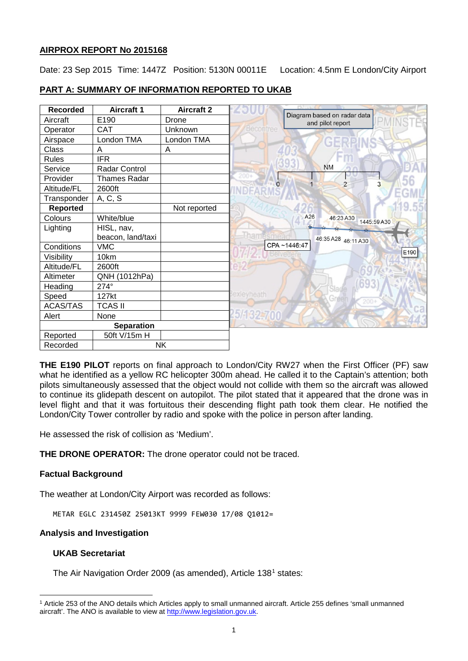## **AIRPROX REPORT No 2015168**

Date: 23 Sep 2015 Time: 1447Z Position: 5130N 00011E Location: 4.5nm E London/City Airport

## **PART A: SUMMARY OF INFORMATION REPORTED TO UKAB**

| <b>Recorded</b>   | <b>Aircraft 1</b>   | <b>Aircraft 2</b> |                                                 |
|-------------------|---------------------|-------------------|-------------------------------------------------|
| Aircraft          | E190                | Drone             | Diagram based on radar data<br>and pilot report |
| Operator          | CAT                 | Unknown           | Becontree                                       |
| Airspace          | London TMA          | London TMA        |                                                 |
| Class             | A                   | Α                 |                                                 |
| <b>Rules</b>      | <b>IFR</b>          |                   |                                                 |
| Service           | Radar Control       |                   | <b>NM</b>                                       |
| Provider          | <b>Thames Radar</b> |                   | $\overline{2}$                                  |
| Altitude/FL       | 2600ft              |                   | 3                                               |
| Transponder       | A, C, S             |                   |                                                 |
| Reported          |                     | Not reported      |                                                 |
| Colours           | White/blue          |                   | A26<br>46:23 A30<br>1445:59A30                  |
| Lighting          | HISL, nav,          |                   |                                                 |
|                   | beacon, land/taxi   |                   | 46:35 A28 46:11 A30                             |
| Conditions        | <b>VMC</b>          |                   | CPA~1446:47<br>E190                             |
| Visibility        | 10km                |                   |                                                 |
| Altitude/FL       | 2600ft              |                   |                                                 |
| Altimeter         | QNH (1012hPa)       |                   | exleyheath<br>$200 +$                           |
| Heading           | 274°                |                   |                                                 |
| Speed             | 127kt               |                   |                                                 |
| <b>ACAS/TAS</b>   | <b>TCAS II</b>      |                   |                                                 |
| Alert             | None                |                   |                                                 |
| <b>Separation</b> |                     |                   |                                                 |
| Reported          | 50ft V/15m H        |                   |                                                 |
| Recorded          |                     | <b>NK</b>         |                                                 |

**THE E190 PILOT** reports on final approach to London/City RW27 when the First Officer (PF) saw what he identified as a yellow RC helicopter 300m ahead. He called it to the Captain's attention; both pilots simultaneously assessed that the object would not collide with them so the aircraft was allowed to continue its glidepath descent on autopilot. The pilot stated that it appeared that the drone was in level flight and that it was fortuitous their descending flight path took them clear. He notified the London/City Tower controller by radio and spoke with the police in person after landing.

He assessed the risk of collision as 'Medium'.

**THE DRONE OPERATOR:** The drone operator could not be traced.

## **Factual Background**

The weather at London/City Airport was recorded as follows:

METAR EGLC 231450Z 25013KT 9999 FEW030 17/08 Q1012=

#### **Analysis and Investigation**

## **UKAB Secretariat**

l

The Air Navigation Order 2009 (as amended), Article [1](#page-0-0)38<sup>1</sup> states:

<span id="page-0-0"></span><sup>1</sup> Article 253 of the ANO details which Articles apply to small unmanned aircraft. Article 255 defines 'small unmanned aircraft'. The ANO is available to view at [http://www.legislation.gov.uk.](http://www.legislation.gov.uk/)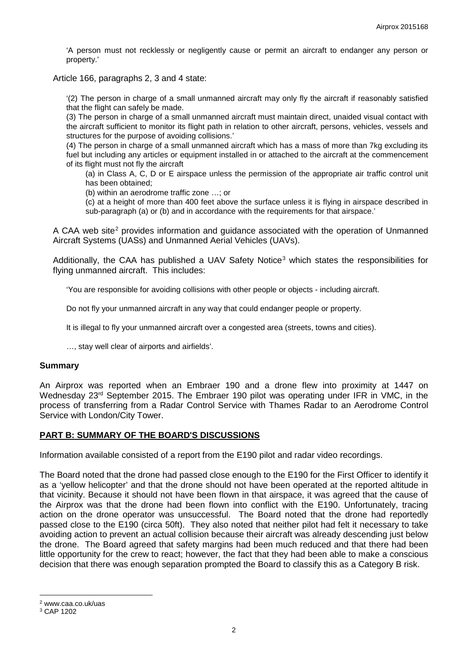'A person must not recklessly or negligently cause or permit an aircraft to endanger any person or property.'

Article 166, paragraphs 2, 3 and 4 state:

'(2) The person in charge of a small unmanned aircraft may only fly the aircraft if reasonably satisfied that the flight can safely be made.

(3) The person in charge of a small unmanned aircraft must maintain direct, unaided visual contact with the aircraft sufficient to monitor its flight path in relation to other aircraft, persons, vehicles, vessels and structures for the purpose of avoiding collisions.'

(4) The person in charge of a small unmanned aircraft which has a mass of more than 7kg excluding its fuel but including any articles or equipment installed in or attached to the aircraft at the commencement of its flight must not fly the aircraft

(a) in Class A, C, D or E airspace unless the permission of the appropriate air traffic control unit has been obtained;

(b) within an aerodrome traffic zone …; or

(c) at a height of more than 400 feet above the surface unless it is flying in airspace described in sub-paragraph (a) or (b) and in accordance with the requirements for that airspace.'

A CAA web site<sup>[2](#page-1-0)</sup> provides information and quidance associated with the operation of Unmanned Aircraft Systems (UASs) and Unmanned Aerial Vehicles (UAVs).

Additionally, the CAA has published a UAV Safety Notice<sup>[3](#page-1-1)</sup> which states the responsibilities for flying unmanned aircraft. This includes:

'You are responsible for avoiding collisions with other people or objects - including aircraft.

Do not fly your unmanned aircraft in any way that could endanger people or property.

It is illegal to fly your unmanned aircraft over a congested area (streets, towns and cities).

…, stay well clear of airports and airfields'.

#### **Summary**

An Airprox was reported when an Embraer 190 and a drone flew into proximity at 1447 on Wednesday 23<sup>rd</sup> September 2015. The Embraer 190 pilot was operating under IFR in VMC, in the process of transferring from a Radar Control Service with Thames Radar to an Aerodrome Control Service with London/City Tower.

#### **PART B: SUMMARY OF THE BOARD'S DISCUSSIONS**

Information available consisted of a report from the E190 pilot and radar video recordings.

The Board noted that the drone had passed close enough to the E190 for the First Officer to identify it as a 'yellow helicopter' and that the drone should not have been operated at the reported altitude in that vicinity. Because it should not have been flown in that airspace, it was agreed that the cause of the Airprox was that the drone had been flown into conflict with the E190. Unfortunately, tracing action on the drone operator was unsuccessful. The Board noted that the drone had reportedly passed close to the E190 (circa 50ft). They also noted that neither pilot had felt it necessary to take avoiding action to prevent an actual collision because their aircraft was already descending just below the drone. The Board agreed that safety margins had been much reduced and that there had been little opportunity for the crew to react; however, the fact that they had been able to make a conscious decision that there was enough separation prompted the Board to classify this as a Category B risk.

l

<span id="page-1-0"></span><sup>2</sup> www.caa.co.uk/uas

<span id="page-1-1"></span><sup>3</sup> CAP 1202